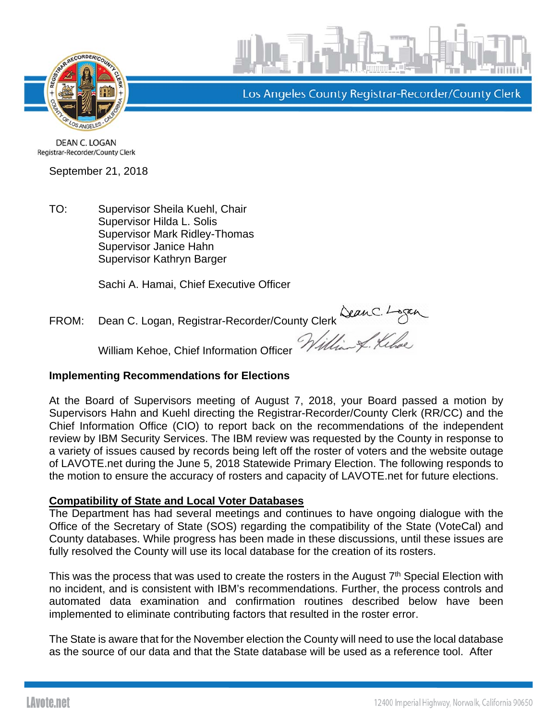



Los Angeles County Registrar-Recorder/County Clerk

**DEAN C. LOGAN** Registrar-Recorder/County Clerk

September 21, 2018

TO: Supervisor Sheila Kuehl, Chair Supervisor Hilda L. Solis Supervisor Mark Ridley-Thomas Supervisor Janice Hahn Supervisor Kathryn Barger

Sachi A. Hamai, Chief Executive Officer

FROM: Dean C. Logan, Registrar-Recorder/County Clerk

William Kehoe, Chief Information Officer

### **Implementing Recommendations for Elections**

At the Board of Supervisors meeting of August 7, 2018, your Board passed a motion by Supervisors Hahn and Kuehl directing the Registrar-Recorder/County Clerk (RR/CC) and the Chief Information Office (CIO) to report back on the recommendations of the independent review by IBM Security Services. The IBM review was requested by the County in response to a variety of issues caused by records being left off the roster of voters and the website outage of LAVOTE.net during the June 5, 2018 Statewide Primary Election. The following responds to the motion to ensure the accuracy of rosters and capacity of LAVOTE.net for future elections.

### **Compatibility of State and Local Voter Databases**

The Department has had several meetings and continues to have ongoing dialogue with the Office of the Secretary of State (SOS) regarding the compatibility of the State (VoteCal) and County databases. While progress has been made in these discussions, until these issues are fully resolved the County will use its local database for the creation of its rosters.

This was the process that was used to create the rosters in the August  $7<sup>th</sup>$  Special Election with no incident, and is consistent with IBM's recommendations. Further, the process controls and automated data examination and confirmation routines described below have been implemented to eliminate contributing factors that resulted in the roster error.

The State is aware that for the November election the County will need to use the local database as the source of our data and that the State database will be used as a reference tool. After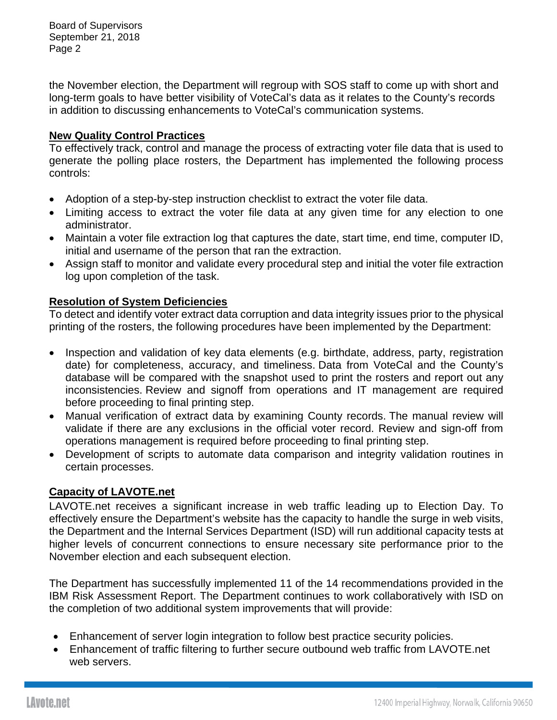Board of Supervisors September 21, 2018 Page 2

the November election, the Department will regroup with SOS staff to come up with short and long-term goals to have better visibility of VoteCal's data as it relates to the County's records in addition to discussing enhancements to VoteCal's communication systems.

### **New Quality Control Practices**

To effectively track, control and manage the process of extracting voter file data that is used to generate the polling place rosters, the Department has implemented the following process controls:

- Adoption of a step-by-step instruction checklist to extract the voter file data.
- Limiting access to extract the voter file data at any given time for any election to one administrator.
- Maintain a voter file extraction log that captures the date, start time, end time, computer ID, initial and username of the person that ran the extraction.
- Assign staff to monitor and validate every procedural step and initial the voter file extraction log upon completion of the task.

## **Resolution of System Deficiencies**

To detect and identify voter extract data corruption and data integrity issues prior to the physical printing of the rosters, the following procedures have been implemented by the Department:

- Inspection and validation of key data elements (e.g. birthdate, address, party, registration date) for completeness, accuracy, and timeliness. Data from VoteCal and the County's database will be compared with the snapshot used to print the rosters and report out any inconsistencies. Review and signoff from operations and IT management are required before proceeding to final printing step.
- Manual verification of extract data by examining County records. The manual review will validate if there are any exclusions in the official voter record. Review and sign-off from operations management is required before proceeding to final printing step.
- Development of scripts to automate data comparison and integrity validation routines in certain processes.

# **Capacity of LAVOTE.net**

LAVOTE.net receives a significant increase in web traffic leading up to Election Day. To effectively ensure the Department's website has the capacity to handle the surge in web visits, the Department and the Internal Services Department (ISD) will run additional capacity tests at higher levels of concurrent connections to ensure necessary site performance prior to the November election and each subsequent election.

The Department has successfully implemented 11 of the 14 recommendations provided in the IBM Risk Assessment Report. The Department continues to work collaboratively with ISD on the completion of two additional system improvements that will provide:

- Enhancement of server login integration to follow best practice security policies.
- Enhancement of traffic filtering to further secure outbound web traffic from LAVOTE.net web servers.